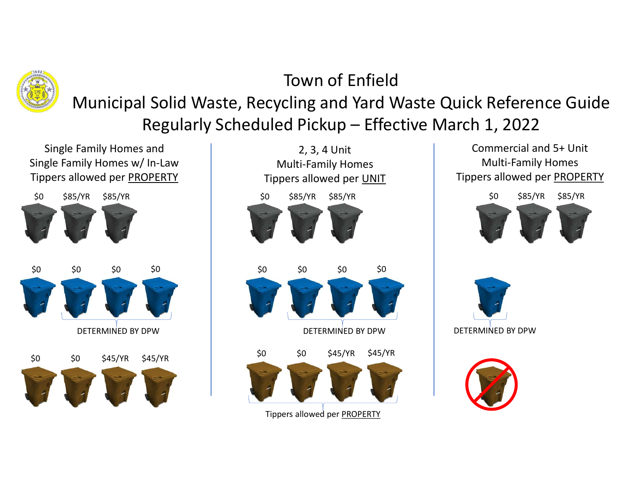

## Town of Enfield

Municipal Solid Waste, Recycling and Yard Waste Quick Reference Guide Town of Enfield<br>
I Solid Waste, Recycling and Yard Waste Quick Reference Guide<br>
Regularly Scheduled Pickup – Effective March 1, 2022<br>
<sup>2, 3, 4 Unit<br>
Multi-Family Homes<br>
Multi-Family Homes<br>
Tippers allowed per <u>UNIT</u><br>
Tippe</sup> Town o<br>
Municipal Solid Waste, Recycling an<br>
Regularly Scheduled Picku<br>
Single Family Homes and<br>
gle Family Homes w/ In-Law<br>
pers allowed per <u>PROPERTY</u><br>
S85/YR S85/YR S85/YR<br>
S85/YR S85/YR S85/YR

Single Family Homes w/ In-Law Tippers allowed per PROPERTY





\$0 \$0 \$85/YR \$85/YR Commercial and 5+ Unit Multi-Family Homes Tippers allowed per PROPERTY DETERMINED BY DPW